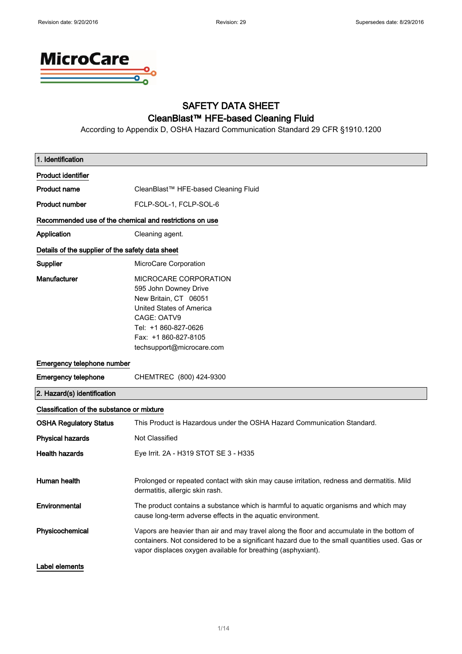

### SAFETY DATA SHEET CleanBlast™ HFE-based Cleaning Fluid

According to Appendix D, OSHA Hazard Communication Standard 29 CFR §1910.1200

| 1. Identification                                       |                                                                                                                                                                                                                                                              |  |
|---------------------------------------------------------|--------------------------------------------------------------------------------------------------------------------------------------------------------------------------------------------------------------------------------------------------------------|--|
| <b>Product identifier</b>                               |                                                                                                                                                                                                                                                              |  |
| <b>Product name</b>                                     | CleanBlast™ HFE-based Cleaning Fluid                                                                                                                                                                                                                         |  |
| <b>Product number</b>                                   | FCLP-SOL-1, FCLP-SOL-6                                                                                                                                                                                                                                       |  |
| Recommended use of the chemical and restrictions on use |                                                                                                                                                                                                                                                              |  |
| Application                                             | Cleaning agent.                                                                                                                                                                                                                                              |  |
| Details of the supplier of the safety data sheet        |                                                                                                                                                                                                                                                              |  |
| Supplier                                                | MicroCare Corporation                                                                                                                                                                                                                                        |  |
| Manufacturer                                            | MICROCARE CORPORATION<br>595 John Downey Drive<br>New Britain, CT 06051<br>United States of America<br>CAGE: OATV9<br>Tel: +1 860-827-0626<br>Fax: +1 860-827-8105<br>techsupport@microcare.com                                                              |  |
| Emergency telephone number                              |                                                                                                                                                                                                                                                              |  |
| <b>Emergency telephone</b>                              | CHEMTREC (800) 424-9300                                                                                                                                                                                                                                      |  |
| 2. Hazard(s) identification                             |                                                                                                                                                                                                                                                              |  |
| Classification of the substance or mixture              |                                                                                                                                                                                                                                                              |  |
| <b>OSHA Regulatory Status</b>                           | This Product is Hazardous under the OSHA Hazard Communication Standard.                                                                                                                                                                                      |  |
| <b>Physical hazards</b>                                 | Not Classified                                                                                                                                                                                                                                               |  |
| <b>Health hazards</b>                                   | Eye Irrit. 2A - H319 STOT SE 3 - H335                                                                                                                                                                                                                        |  |
| Human health                                            | Prolonged or repeated contact with skin may cause irritation, redness and dermatitis. Mild<br>dermatitis, allergic skin rash.                                                                                                                                |  |
| Environmental                                           | The product contains a substance which is harmful to aquatic organisms and which may<br>cause long-term adverse effects in the aquatic environment.                                                                                                          |  |
| Physicochemical                                         | Vapors are heavier than air and may travel along the floor and accumulate in the bottom of<br>containers. Not considered to be a significant hazard due to the small quantities used. Gas or<br>vapor displaces oxygen available for breathing (asphyxiant). |  |
| Label elements                                          |                                                                                                                                                                                                                                                              |  |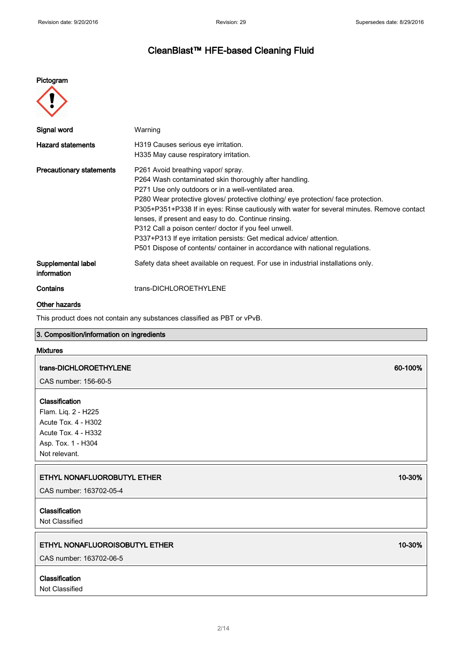### Pictogram



| Signal word                       | Warning                                                                                                                                                                                                                                                                                                                                                                                                                                                                                                                                                                                                           |
|-----------------------------------|-------------------------------------------------------------------------------------------------------------------------------------------------------------------------------------------------------------------------------------------------------------------------------------------------------------------------------------------------------------------------------------------------------------------------------------------------------------------------------------------------------------------------------------------------------------------------------------------------------------------|
| <b>Hazard statements</b>          | H319 Causes serious eye irritation.<br>H335 May cause respiratory irritation.                                                                                                                                                                                                                                                                                                                                                                                                                                                                                                                                     |
| <b>Precautionary statements</b>   | P261 Avoid breathing vapor/ spray.<br>P264 Wash contaminated skin thoroughly after handling.<br>P271 Use only outdoors or in a well-ventilated area.<br>P280 Wear protective gloves/ protective clothing/ eye protection/ face protection.<br>P305+P351+P338 If in eyes: Rinse cautiously with water for several minutes. Remove contact<br>lenses, if present and easy to do. Continue rinsing.<br>P312 Call a poison center/ doctor if you feel unwell.<br>P337+P313 If eye irritation persists: Get medical advice/ attention.<br>P501 Dispose of contents/ container in accordance with national regulations. |
| Supplemental label<br>information | Safety data sheet available on request. For use in industrial installations only.                                                                                                                                                                                                                                                                                                                                                                                                                                                                                                                                 |
| Contains                          | trans-DICHLOROETHYLENE                                                                                                                                                                                                                                                                                                                                                                                                                                                                                                                                                                                            |

### Other hazards

This product does not contain any substances classified as PBT or vPvB.

| <b>Mixtures</b><br>trans-DICHLOROETHYLENE<br>60-100%<br>CAS number: 156-60-5<br>Classification<br>Flam. Liq. 2 - H225<br>Acute Tox. 4 - H302<br>Acute Tox. 4 - H332<br>Asp. Tox. 1 - H304<br>Not relevant.<br>ETHYL NONAFLUOROBUTYL ETHER<br>10-30%<br>CAS number: 163702-05-4<br>Classification<br>Not Classified<br>ETHYL NONAFLUOROISOBUTYL ETHER<br>10-30%<br>CAS number: 163702-06-5 | 3. Composition/information on ingredients |  |
|-------------------------------------------------------------------------------------------------------------------------------------------------------------------------------------------------------------------------------------------------------------------------------------------------------------------------------------------------------------------------------------------|-------------------------------------------|--|
|                                                                                                                                                                                                                                                                                                                                                                                           |                                           |  |
|                                                                                                                                                                                                                                                                                                                                                                                           |                                           |  |
|                                                                                                                                                                                                                                                                                                                                                                                           |                                           |  |
|                                                                                                                                                                                                                                                                                                                                                                                           |                                           |  |
|                                                                                                                                                                                                                                                                                                                                                                                           |                                           |  |
|                                                                                                                                                                                                                                                                                                                                                                                           |                                           |  |
|                                                                                                                                                                                                                                                                                                                                                                                           |                                           |  |

### Classification

Not Classified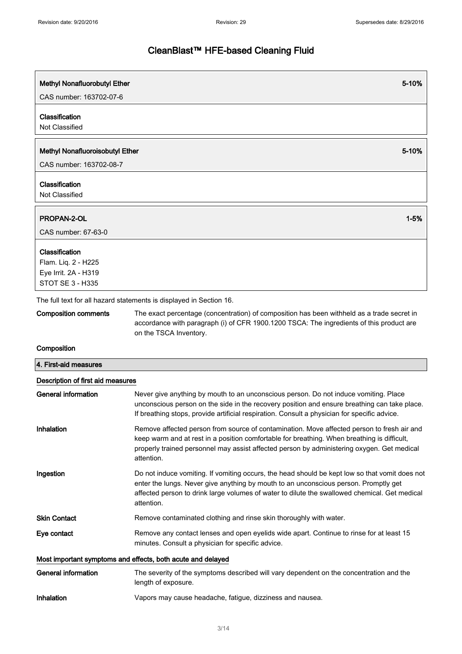| Methyl Nonafluorobutyl Ether                                                 | 5-10%    |
|------------------------------------------------------------------------------|----------|
| CAS number: 163702-07-6                                                      |          |
| Classification                                                               |          |
| Not Classified                                                               |          |
|                                                                              |          |
| Methyl Nonafluoroisobutyl Ether                                              | 5-10%    |
| CAS number: 163702-08-7                                                      |          |
| Classification                                                               |          |
| Not Classified                                                               |          |
|                                                                              |          |
|                                                                              |          |
| CAS number: 67-63-0                                                          |          |
|                                                                              |          |
|                                                                              |          |
|                                                                              |          |
| STOT SE 3 - H335                                                             |          |
| PROPAN-2-OL<br>Classification<br>Flam. Liq. 2 - H225<br>Eye Irrit. 2A - H319 | $1 - 5%$ |

The full text for all hazard statements is displayed in Section 16.

Composition comments The exact percentage (concentration) of composition has been withheld as a trade secret in accordance with paragraph (i) of CFR 1900.1200 TSCA: The ingredients of this product are on the TSCA Inventory.

### Composition

| 4. First-aid measures                                       |                                                                                                                                                                                                                                                                                                       |  |
|-------------------------------------------------------------|-------------------------------------------------------------------------------------------------------------------------------------------------------------------------------------------------------------------------------------------------------------------------------------------------------|--|
| Description of first aid measures                           |                                                                                                                                                                                                                                                                                                       |  |
| <b>General information</b>                                  | Never give anything by mouth to an unconscious person. Do not induce vomiting. Place<br>unconscious person on the side in the recovery position and ensure breathing can take place.<br>If breathing stops, provide artificial respiration. Consult a physician for specific advice.                  |  |
| Inhalation                                                  | Remove affected person from source of contamination. Move affected person to fresh air and<br>keep warm and at rest in a position comfortable for breathing. When breathing is difficult,<br>properly trained personnel may assist affected person by administering oxygen. Get medical<br>attention. |  |
| Ingestion                                                   | Do not induce vomiting. If vomiting occurs, the head should be kept low so that vomit does not<br>enter the lungs. Never give anything by mouth to an unconscious person. Promptly get<br>affected person to drink large volumes of water to dilute the swallowed chemical. Get medical<br>attention. |  |
| <b>Skin Contact</b>                                         | Remove contaminated clothing and rinse skin thoroughly with water.                                                                                                                                                                                                                                    |  |
| Eye contact                                                 | Remove any contact lenses and open eyelids wide apart. Continue to rinse for at least 15<br>minutes. Consult a physician for specific advice.                                                                                                                                                         |  |
| Most important symptoms and effects, both acute and delayed |                                                                                                                                                                                                                                                                                                       |  |
| <b>General information</b>                                  | The severity of the symptoms described will vary dependent on the concentration and the<br>length of exposure.                                                                                                                                                                                        |  |
| Inhalation                                                  | Vapors may cause headache, fatique, dizziness and nausea.                                                                                                                                                                                                                                             |  |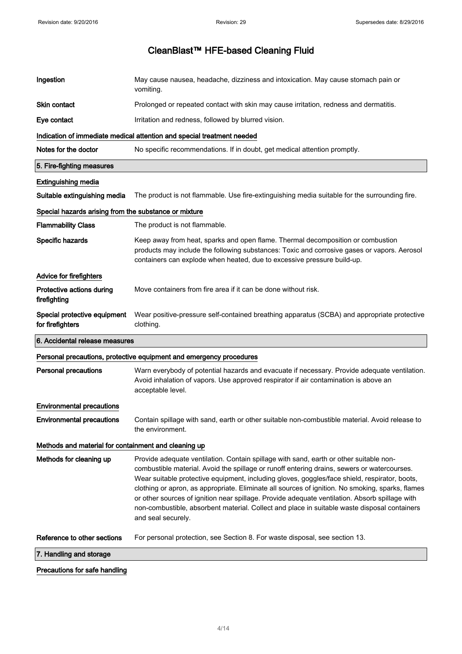| Ingestion                                             | May cause nausea, headache, dizziness and intoxication. May cause stomach pain or<br>vomiting.                                                                                                                                                                                                                                                                                                                                                                                                                                                                                                                     |  |
|-------------------------------------------------------|--------------------------------------------------------------------------------------------------------------------------------------------------------------------------------------------------------------------------------------------------------------------------------------------------------------------------------------------------------------------------------------------------------------------------------------------------------------------------------------------------------------------------------------------------------------------------------------------------------------------|--|
| Skin contact                                          | Prolonged or repeated contact with skin may cause irritation, redness and dermatitis.                                                                                                                                                                                                                                                                                                                                                                                                                                                                                                                              |  |
| Eye contact                                           | Irritation and redness, followed by blurred vision.                                                                                                                                                                                                                                                                                                                                                                                                                                                                                                                                                                |  |
|                                                       | Indication of immediate medical attention and special treatment needed                                                                                                                                                                                                                                                                                                                                                                                                                                                                                                                                             |  |
| Notes for the doctor                                  | No specific recommendations. If in doubt, get medical attention promptly.                                                                                                                                                                                                                                                                                                                                                                                                                                                                                                                                          |  |
| 5. Fire-fighting measures                             |                                                                                                                                                                                                                                                                                                                                                                                                                                                                                                                                                                                                                    |  |
| <b>Extinguishing media</b>                            |                                                                                                                                                                                                                                                                                                                                                                                                                                                                                                                                                                                                                    |  |
| Suitable extinguishing media                          | The product is not flammable. Use fire-extinguishing media suitable for the surrounding fire.                                                                                                                                                                                                                                                                                                                                                                                                                                                                                                                      |  |
| Special hazards arising from the substance or mixture |                                                                                                                                                                                                                                                                                                                                                                                                                                                                                                                                                                                                                    |  |
| <b>Flammability Class</b>                             | The product is not flammable.                                                                                                                                                                                                                                                                                                                                                                                                                                                                                                                                                                                      |  |
| Specific hazards                                      | Keep away from heat, sparks and open flame. Thermal decomposition or combustion<br>products may include the following substances: Toxic and corrosive gases or vapors. Aerosol<br>containers can explode when heated, due to excessive pressure build-up.                                                                                                                                                                                                                                                                                                                                                          |  |
| Advice for firefighters                               |                                                                                                                                                                                                                                                                                                                                                                                                                                                                                                                                                                                                                    |  |
| Protective actions during<br>firefighting             | Move containers from fire area if it can be done without risk.                                                                                                                                                                                                                                                                                                                                                                                                                                                                                                                                                     |  |
| Special protective equipment<br>for firefighters      | Wear positive-pressure self-contained breathing apparatus (SCBA) and appropriate protective<br>clothing.                                                                                                                                                                                                                                                                                                                                                                                                                                                                                                           |  |
| 6. Accidental release measures                        |                                                                                                                                                                                                                                                                                                                                                                                                                                                                                                                                                                                                                    |  |
|                                                       | Personal precautions, protective equipment and emergency procedures                                                                                                                                                                                                                                                                                                                                                                                                                                                                                                                                                |  |
| <b>Personal precautions</b>                           | Warn everybody of potential hazards and evacuate if necessary. Provide adequate ventilation.<br>Avoid inhalation of vapors. Use approved respirator if air contamination is above an<br>acceptable level.                                                                                                                                                                                                                                                                                                                                                                                                          |  |
| <b>Environmental precautions</b>                      |                                                                                                                                                                                                                                                                                                                                                                                                                                                                                                                                                                                                                    |  |
| <b>Environmental precautions</b>                      | Contain spillage with sand, earth or other suitable non-combustible material. Avoid release to<br>the environment.                                                                                                                                                                                                                                                                                                                                                                                                                                                                                                 |  |
| Methods and material for containment and cleaning up  |                                                                                                                                                                                                                                                                                                                                                                                                                                                                                                                                                                                                                    |  |
| Methods for cleaning up                               | Provide adequate ventilation. Contain spillage with sand, earth or other suitable non-<br>combustible material. Avoid the spillage or runoff entering drains, sewers or watercourses.<br>Wear suitable protective equipment, including gloves, goggles/face shield, respirator, boots,<br>clothing or apron, as appropriate. Eliminate all sources of ignition. No smoking, sparks, flames<br>or other sources of ignition near spillage. Provide adequate ventilation. Absorb spillage with<br>non-combustible, absorbent material. Collect and place in suitable waste disposal containers<br>and seal securely. |  |
| Reference to other sections                           | For personal protection, see Section 8. For waste disposal, see section 13.                                                                                                                                                                                                                                                                                                                                                                                                                                                                                                                                        |  |
| 7. Handling and storage                               |                                                                                                                                                                                                                                                                                                                                                                                                                                                                                                                                                                                                                    |  |
| Precautions for safe handling                         |                                                                                                                                                                                                                                                                                                                                                                                                                                                                                                                                                                                                                    |  |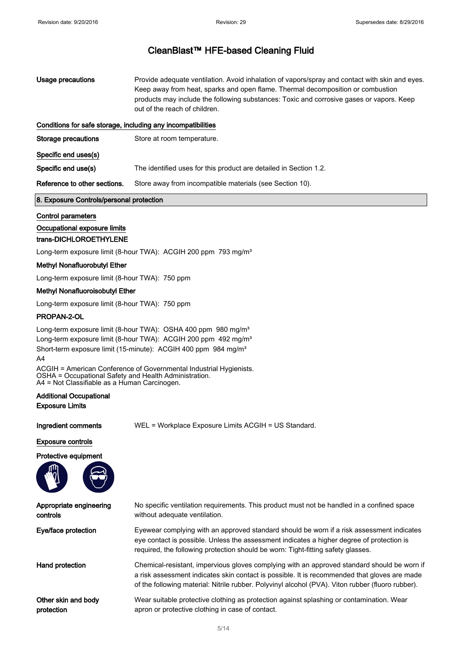- Usage precautions **Provide adequate ventilation.** Avoid inhalation of vapors/spray and contact with skin and eyes. Keep away from heat, sparks and open flame. Thermal decomposition or combustion products may include the following substances: Toxic and corrosive gases or vapors. Keep out of the reach of children. Conditions for safe storage, including any incompatibilities
- Storage precautions Store at room temperature. Specific end uses(s) Specific end use(s) The identified uses for this product are detailed in Section 1.2. Reference to other sections. Store away from incompatible materials (see Section 10).

### 8. Exposure Controls/personal protection

### Control parameters

### Occupational exposure limits

### trans-DICHLOROETHYLENE

Long-term exposure limit (8-hour TWA): ACGIH 200 ppm 793 mg/m<sup>3</sup>

#### Methyl Nonafluorobutyl Ether

Long-term exposure limit (8-hour TWA): 750 ppm

#### Methyl Nonafluoroisobutyl Ether

Long-term exposure limit (8-hour TWA): 750 ppm

#### PROPAN-2-OL

Long-term exposure limit (8-hour TWA): OSHA 400 ppm 980 mg/m<sup>3</sup> Long-term exposure limit (8-hour TWA): ACGIH 200 ppm 492 mg/m<sup>3</sup> Short-term exposure limit (15-minute): ACGIH 400 ppm 984 mg/m<sup>3</sup>  $A4$ 

ACGIH = American Conference of Governmental Industrial Hygienists. OSHA = Occupational Safety and Health Administration. A4 = Not Classifiable as a Human Carcinogen.

### Additional Occupational Exposure Limits

Ingredient comments WEL = Workplace Exposure Limits ACGIH = US Standard.

#### Exposure controls

### Protective equipment



| Appropriate engineering | No specific ventilation requirements. This product must not be handled in a confined space                                                                                                                                                                                                       |
|-------------------------|--------------------------------------------------------------------------------------------------------------------------------------------------------------------------------------------------------------------------------------------------------------------------------------------------|
| controls                | without adequate ventilation.                                                                                                                                                                                                                                                                    |
| Eye/face protection     | Eyewear complying with an approved standard should be worn if a risk assessment indicates<br>eye contact is possible. Unless the assessment indicates a higher degree of protection is<br>required, the following protection should be worn: Tight-fitting safety glasses.                       |
| Hand protection         | Chemical-resistant, impervious gloves complying with an approved standard should be worn if<br>a risk assessment indicates skin contact is possible. It is recommended that gloves are made<br>of the following material: Nitrile rubber. Polyvinyl alcohol (PVA). Viton rubber (fluoro rubber). |
| Other skin and body     | Wear suitable protective clothing as protection against splashing or contamination. Wear                                                                                                                                                                                                         |
| protection              | apron or protective clothing in case of contact.                                                                                                                                                                                                                                                 |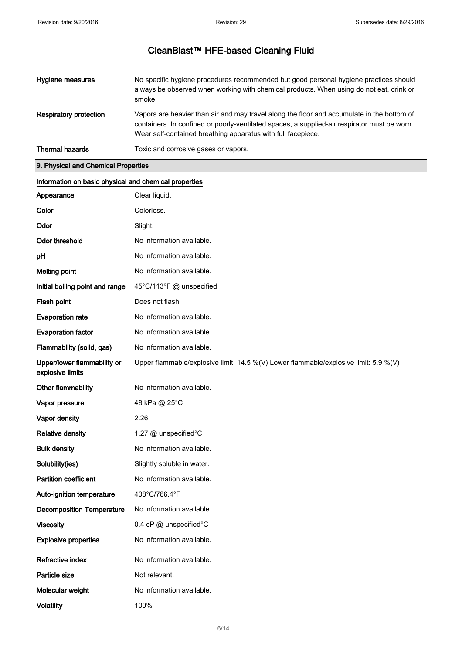| Hygiene measures       | No specific hygiene procedures recommended but good personal hygiene practices should<br>always be observed when working with chemical products. When using do not eat, drink or<br>smoke.                                                                 |
|------------------------|------------------------------------------------------------------------------------------------------------------------------------------------------------------------------------------------------------------------------------------------------------|
| Respiratory protection | Vapors are heavier than air and may travel along the floor and accumulate in the bottom of<br>containers. In confined or poorly-ventilated spaces, a supplied-air respirator must be worn.<br>Wear self-contained breathing apparatus with full facepiece. |
| <b>Thermal hazards</b> | Toxic and corrosive gases or vapors.                                                                                                                                                                                                                       |

### 9. Physical and Chemical Properties

| Information on basic physical and chemical properties |                                                                                      |  |
|-------------------------------------------------------|--------------------------------------------------------------------------------------|--|
| Appearance                                            | Clear liquid.                                                                        |  |
| Color                                                 | Colorless.                                                                           |  |
| Odor                                                  | Slight.                                                                              |  |
| <b>Odor threshold</b>                                 | No information available.                                                            |  |
| pH                                                    | No information available.                                                            |  |
| <b>Melting point</b>                                  | No information available.                                                            |  |
| Initial boiling point and range                       | 45°C/113°F @ unspecified                                                             |  |
| Flash point                                           | Does not flash                                                                       |  |
| <b>Evaporation rate</b>                               | No information available.                                                            |  |
| <b>Evaporation factor</b>                             | No information available.                                                            |  |
| Flammability (solid, gas)                             | No information available.                                                            |  |
| Upper/lower flammability or<br>explosive limits       | Upper flammable/explosive limit: 14.5 %(V) Lower flammable/explosive limit: 5.9 %(V) |  |
| Other flammability                                    | No information available.                                                            |  |
| Vapor pressure                                        | 48 kPa @ 25°C                                                                        |  |
| Vapor density                                         | 2.26                                                                                 |  |
| <b>Relative density</b>                               | 1.27 @ unspecified°C                                                                 |  |
| <b>Bulk density</b>                                   | No information available.                                                            |  |
| Solubility(ies)                                       | Slightly soluble in water.                                                           |  |
| <b>Partition coefficient</b>                          | No information available.                                                            |  |
| Auto-ignition temperature                             | 408°C/766.4°F                                                                        |  |
| <b>Decomposition Temperature</b>                      | No information available.                                                            |  |
| <b>Viscosity</b>                                      | 0.4 cP @ unspecified°C                                                               |  |
| <b>Explosive properties</b>                           | No information available.                                                            |  |
| Refractive index                                      | No information available.                                                            |  |
| Particle size                                         | Not relevant.                                                                        |  |
| Molecular weight                                      | No information available.                                                            |  |
| <b>Volatility</b>                                     | 100%                                                                                 |  |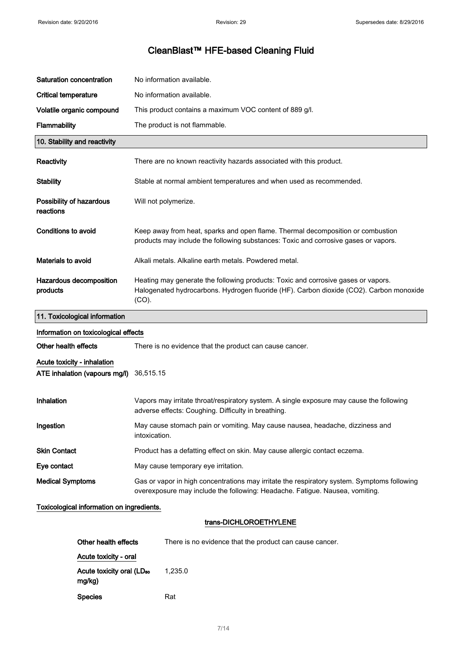| Saturation concentration                                     | No information available.                                                                                                                                                                |  |
|--------------------------------------------------------------|------------------------------------------------------------------------------------------------------------------------------------------------------------------------------------------|--|
| <b>Critical temperature</b>                                  | No information available.                                                                                                                                                                |  |
| Volatile organic compound                                    | This product contains a maximum VOC content of 889 g/l.                                                                                                                                  |  |
| Flammability                                                 | The product is not flammable.                                                                                                                                                            |  |
| 10. Stability and reactivity                                 |                                                                                                                                                                                          |  |
| Reactivity                                                   | There are no known reactivity hazards associated with this product.                                                                                                                      |  |
| <b>Stability</b>                                             | Stable at normal ambient temperatures and when used as recommended.                                                                                                                      |  |
| Possibility of hazardous<br>reactions                        | Will not polymerize.                                                                                                                                                                     |  |
| Conditions to avoid                                          | Keep away from heat, sparks and open flame. Thermal decomposition or combustion<br>products may include the following substances: Toxic and corrosive gases or vapors.                   |  |
| Materials to avoid                                           | Alkali metals. Alkaline earth metals. Powdered metal.                                                                                                                                    |  |
| Hazardous decomposition<br>products                          | Heating may generate the following products: Toxic and corrosive gases or vapors.<br>Halogenated hydrocarbons. Hydrogen fluoride (HF). Carbon dioxide (CO2). Carbon monoxide<br>$(CO)$ . |  |
| 11. Toxicological information                                |                                                                                                                                                                                          |  |
|                                                              |                                                                                                                                                                                          |  |
| Information on toxicological effects                         |                                                                                                                                                                                          |  |
| Other health effects                                         | There is no evidence that the product can cause cancer.                                                                                                                                  |  |
| Acute toxicity - inhalation<br>ATE inhalation (vapours mg/l) | 36,515.15                                                                                                                                                                                |  |
| Inhalation                                                   | Vapors may irritate throat/respiratory system. A single exposure may cause the following<br>adverse effects: Coughing. Difficulty in breathing.                                          |  |
| Ingestion                                                    | May cause stomach pain or vomiting. May cause nausea, headache, dizziness and<br>intoxication.                                                                                           |  |
| <b>Skin Contact</b>                                          | Product has a defatting effect on skin. May cause allergic contact eczema.                                                                                                               |  |
| Eye contact                                                  | May cause temporary eye irritation.                                                                                                                                                      |  |
| <b>Medical Symptoms</b>                                      | Gas or vapor in high concentrations may irritate the respiratory system. Symptoms following<br>overexposure may include the following: Headache. Fatigue. Nausea, vomiting.              |  |
| Toxicological information on ingredients.                    |                                                                                                                                                                                          |  |
|                                                              | trans-DICHLOROETHYLENE                                                                                                                                                                   |  |
| Other health effects                                         | There is no evidence that the product can cause cancer.                                                                                                                                  |  |
| Acute toxicity - oral                                        |                                                                                                                                                                                          |  |

mg/kg) Species Rat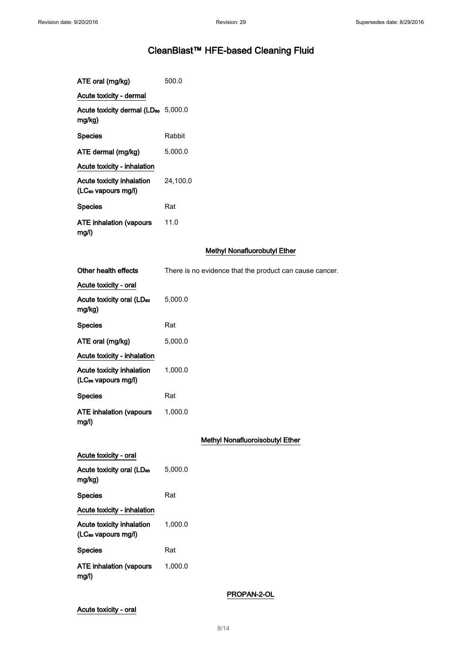| ATE oral (mg/kg)                                                    | 500.0                                                   |
|---------------------------------------------------------------------|---------------------------------------------------------|
| Acute toxicity - dermal                                             |                                                         |
| Acute toxicity dermal (LD <sub>50</sub> 5,000.0<br>mg/kg)           |                                                         |
| <b>Species</b>                                                      | Rabbit                                                  |
| ATE dermal (mg/kg)                                                  | 5,000.0                                                 |
| Acute toxicity - inhalation                                         |                                                         |
| <b>Acute toxicity inhalation</b><br>(LC <sub>50</sub> vapours mg/l) | 24,100.0                                                |
| <b>Species</b>                                                      | Rat                                                     |
| <b>ATE inhalation (vapours</b><br>mg/l)                             | 11.0                                                    |
|                                                                     | <b>Methyl Nonafluorobutyl Ether</b>                     |
| Other health effects                                                | There is no evidence that the product can cause cancer. |
| Acute toxicity - oral                                               |                                                         |
| Acute toxicity oral (LD <sub>50</sub><br>mg/kg)                     | 5,000.0                                                 |
| <b>Species</b>                                                      | Rat                                                     |
| ATE oral (mg/kg)                                                    | 5,000.0                                                 |
| Acute toxicity - inhalation                                         |                                                         |
| <b>Acute toxicity inhalation</b><br>(LC <sub>50</sub> vapours mg/l) | 1,000.0                                                 |
| Species                                                             | Rat                                                     |
| <b>ATE inhalation (vapours</b><br>mg/l)                             | 1,000.0                                                 |
|                                                                     | Methyl Nonafluoroisobutyl Ether                         |
| Acute toxicity - oral                                               |                                                         |
| Acute toxicity oral (LD <sub>50</sub><br>mg/kg)                     | 5,000.0                                                 |
| <b>Species</b>                                                      | Rat                                                     |
| <b>Acute toxicity - inhalation</b>                                  |                                                         |
| <b>Acute toxicity inhalation</b><br>(LC <sub>50</sub> vapours mg/l) | 1,000.0                                                 |
| <b>Species</b>                                                      | Rat                                                     |
| <b>ATE inhalation (vapours</b><br>mg/l)                             | 1,000.0                                                 |

PROPAN-2-OL

Acute toxicity - oral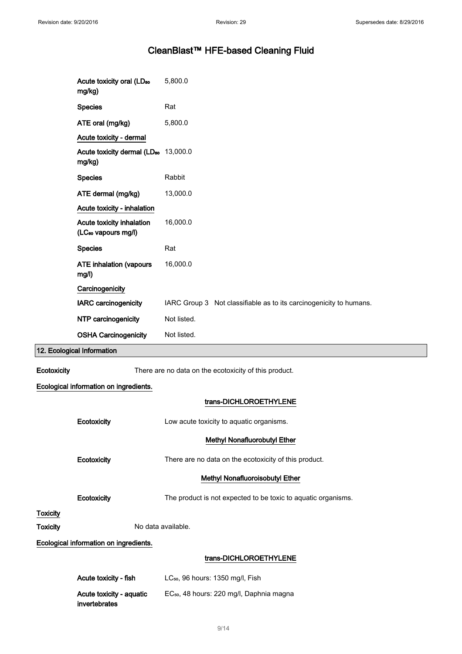# CleanBlast™ HFE-based Cleaning Fluid

|                 | Acute toxicity oral (LD <sub>50</sub><br>mg/kg)              | 5,800.0                                                            |  |
|-----------------|--------------------------------------------------------------|--------------------------------------------------------------------|--|
|                 | <b>Species</b>                                               | Rat                                                                |  |
|                 | ATE oral (mg/kg)                                             | 5,800.0                                                            |  |
|                 | Acute toxicity - dermal                                      |                                                                    |  |
|                 | Acute toxicity dermal (LD <sub>50</sub> 13,000.0<br>mg/kg)   |                                                                    |  |
|                 | <b>Species</b>                                               | Rabbit                                                             |  |
|                 | ATE dermal (mg/kg)                                           | 13,000.0                                                           |  |
|                 | Acute toxicity - inhalation                                  |                                                                    |  |
|                 | Acute toxicity inhalation<br>(LC <sub>so</sub> vapours mg/l) | 16,000.0                                                           |  |
|                 | <b>Species</b>                                               | Rat                                                                |  |
|                 | <b>ATE inhalation (vapours</b><br>mg/l)                      | 16,000.0                                                           |  |
|                 | Carcinogenicity                                              |                                                                    |  |
|                 | IARC carcinogenicity                                         | IARC Group 3 Not classifiable as to its carcinogenicity to humans. |  |
|                 | NTP carcinogenicity                                          | Not listed.                                                        |  |
|                 | <b>OSHA Carcinogenicity</b>                                  | Not listed.                                                        |  |
|                 | 12. Ecological Information                                   |                                                                    |  |
| Ecotoxicity     |                                                              | There are no data on the ecotoxicity of this product.              |  |
|                 | Ecological information on ingredients.                       |                                                                    |  |
|                 |                                                              | trans-DICHLOROETHYLENE                                             |  |
|                 | Ecotoxicity                                                  | Low acute toxicity to aquatic organisms.                           |  |
|                 |                                                              | Methyl Nonafluorobutyl Ether                                       |  |
|                 | Ecotoxicity                                                  | There are no data on the ecotoxicity of this product.              |  |
|                 |                                                              | Methyl Nonafluoroisobutyl Ether                                    |  |
|                 | Ecotoxicity                                                  | The product is not expected to be toxic to aquatic organisms.      |  |
| <b>Toxicity</b> |                                                              |                                                                    |  |
| <b>Toxicity</b> |                                                              | No data available.                                                 |  |
|                 | Ecological information on ingredients.                       |                                                                    |  |
|                 |                                                              | trans-DICHLOROETHYLENE                                             |  |

| Acute toxicity - fish    | $LC_{50}$ , 96 hours: 1350 mg/l, Fish                |
|--------------------------|------------------------------------------------------|
| Acute toxicity - aguatic | EC <sub>50</sub> , 48 hours: 220 mg/l, Daphnia magna |
| invertebrates            |                                                      |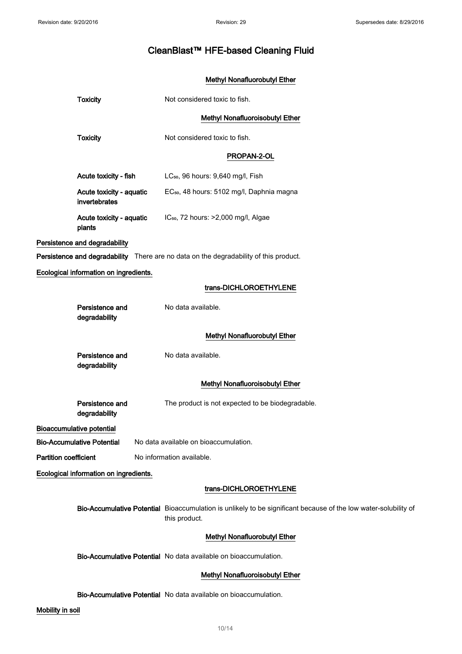### Methyl Nonafluorobutyl Ether

| <b>Toxicity</b>                           | Not considered toxic to fish.                                                                                                    |
|-------------------------------------------|----------------------------------------------------------------------------------------------------------------------------------|
|                                           | <b>Methyl Nonafluoroisobutyl Ether</b>                                                                                           |
| <b>Toxicity</b>                           | Not considered toxic to fish.                                                                                                    |
|                                           | PROPAN-2-OL                                                                                                                      |
| Acute toxicity - fish                     | LC <sub>50</sub> , 96 hours: 9,640 mg/l, Fish                                                                                    |
| Acute toxicity - aquatic<br>invertebrates | EC <sub>50</sub> , 48 hours: 5102 mg/l, Daphnia magna                                                                            |
| Acute toxicity - aquatic<br>plants        | IC <sub>50</sub> , 72 hours: >2,000 mg/l, Algae                                                                                  |
| Persistence and degradability             |                                                                                                                                  |
|                                           | Persistence and degradability There are no data on the degradability of this product.                                            |
| Ecological information on ingredients.    |                                                                                                                                  |
|                                           | trans-DICHLOROETHYLENE                                                                                                           |
| Persistence and<br>degradability          | No data available.                                                                                                               |
|                                           | Methyl Nonafluorobutyl Ether                                                                                                     |
| Persistence and<br>degradability          | No data available.                                                                                                               |
|                                           | Methyl Nonafluoroisobutyl Ether                                                                                                  |
| Persistence and<br>degradability          | The product is not expected to be biodegradable.                                                                                 |
| <b>Bioaccumulative potential</b>          |                                                                                                                                  |
| <b>Bio-Accumulative Potential</b>         | No data available on bioaccumulation.                                                                                            |
| <b>Partition coefficient</b>              | No information available.                                                                                                        |
| Ecological information on ingredients.    |                                                                                                                                  |
|                                           | trans-DICHLOROETHYLENE                                                                                                           |
|                                           | Bio-Accumulative Potential Bioaccumulation is unlikely to be significant because of the low water-solubility of<br>this product. |
|                                           | Methyl Nonafluorobutyl Ether                                                                                                     |
|                                           | Bio-Accumulative Potential No data available on bioaccumulation.                                                                 |
|                                           | Methyl Nonafluoroisobutyl Ether                                                                                                  |
|                                           | Bio-Accumulative Potential No data available on bioaccumulation.                                                                 |

### Mobility in soil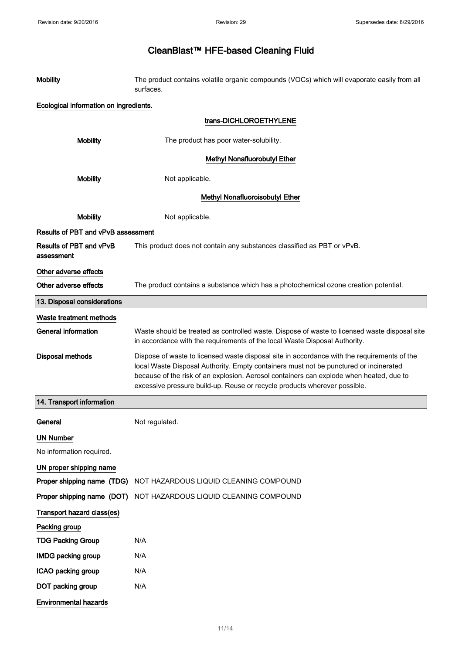| <b>Mobility</b>                        | The product contains volatile organic compounds (VOCs) which will evaporate easily from all<br>surfaces.                                                                                                                                                                                                                                                     |  |
|----------------------------------------|--------------------------------------------------------------------------------------------------------------------------------------------------------------------------------------------------------------------------------------------------------------------------------------------------------------------------------------------------------------|--|
| Ecological information on ingredients. |                                                                                                                                                                                                                                                                                                                                                              |  |
|                                        | trans-DICHLOROETHYLENE                                                                                                                                                                                                                                                                                                                                       |  |
| <b>Mobility</b>                        | The product has poor water-solubility.                                                                                                                                                                                                                                                                                                                       |  |
|                                        | <b>Methyl Nonafluorobutyl Ether</b>                                                                                                                                                                                                                                                                                                                          |  |
| <b>Mobility</b>                        | Not applicable.                                                                                                                                                                                                                                                                                                                                              |  |
| Methyl Nonafluoroisobutyl Ether        |                                                                                                                                                                                                                                                                                                                                                              |  |
| <b>Mobility</b>                        | Not applicable.                                                                                                                                                                                                                                                                                                                                              |  |
| Results of PBT and vPvB assessment     |                                                                                                                                                                                                                                                                                                                                                              |  |
| Results of PBT and vPvB<br>assessment  | This product does not contain any substances classified as PBT or vPvB.                                                                                                                                                                                                                                                                                      |  |
| Other adverse effects                  |                                                                                                                                                                                                                                                                                                                                                              |  |
| Other adverse effects                  | The product contains a substance which has a photochemical ozone creation potential.                                                                                                                                                                                                                                                                         |  |
| 13. Disposal considerations            |                                                                                                                                                                                                                                                                                                                                                              |  |
| Waste treatment methods                |                                                                                                                                                                                                                                                                                                                                                              |  |
| <b>General information</b>             | Waste should be treated as controlled waste. Dispose of waste to licensed waste disposal site<br>in accordance with the requirements of the local Waste Disposal Authority.                                                                                                                                                                                  |  |
| <b>Disposal methods</b>                | Dispose of waste to licensed waste disposal site in accordance with the requirements of the<br>local Waste Disposal Authority. Empty containers must not be punctured or incinerated<br>because of the risk of an explosion. Aerosol containers can explode when heated, due to<br>excessive pressure build-up. Reuse or recycle products wherever possible. |  |
| 14. Transport information              |                                                                                                                                                                                                                                                                                                                                                              |  |
| General                                | Not regulated.                                                                                                                                                                                                                                                                                                                                               |  |
| <b>UN Number</b>                       |                                                                                                                                                                                                                                                                                                                                                              |  |
| No information required.               |                                                                                                                                                                                                                                                                                                                                                              |  |
| UN proper shipping name                |                                                                                                                                                                                                                                                                                                                                                              |  |
| Proper shipping name (TDG)             | NOT HAZARDOUS LIQUID CLEANING COMPOUND                                                                                                                                                                                                                                                                                                                       |  |
| Proper shipping name (DOT)             | NOT HAZARDOUS LIQUID CLEANING COMPOUND                                                                                                                                                                                                                                                                                                                       |  |
| Transport hazard class(es)             |                                                                                                                                                                                                                                                                                                                                                              |  |
| Packing group                          |                                                                                                                                                                                                                                                                                                                                                              |  |
| <b>TDG Packing Group</b>               | N/A                                                                                                                                                                                                                                                                                                                                                          |  |
| <b>IMDG packing group</b>              | N/A                                                                                                                                                                                                                                                                                                                                                          |  |
| ICAO packing group                     | N/A                                                                                                                                                                                                                                                                                                                                                          |  |
| DOT packing group                      | N/A                                                                                                                                                                                                                                                                                                                                                          |  |
| <b>Environmental hazards</b>           |                                                                                                                                                                                                                                                                                                                                                              |  |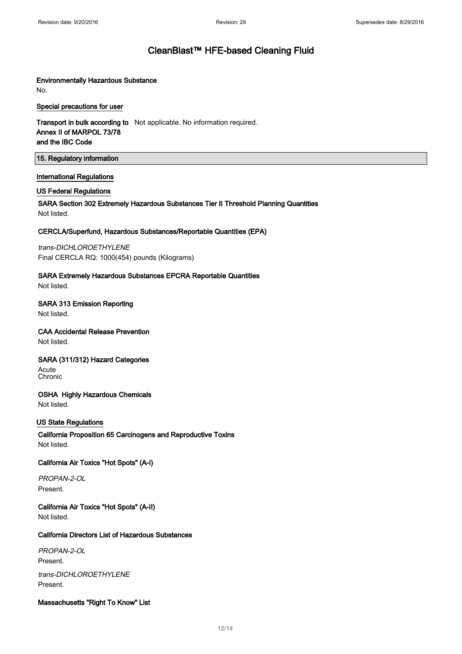### Environmentally Hazardous Substance

No.

### Special precautions for user

**Transport in bulk according to** Not applicable. No information required. Annex II of MARPOL 73/78 and the IBC Code

### 15. Regulatory information

### International Regulations

### US Federal Regulations

SARA Section 302 Extremely Hazardous Substances Tier II Threshold Planning Quantities Not listed.

### CERCLA/Superfund, Hazardous Substances/Reportable Quantities (EPA)

trans-DICHLOROETHYLENE Final CERCLA RQ: 1000(454) pounds (Kilograms)

### SARA Extremely Hazardous Substances EPCRA Reportable Quantities

Not listed.

### SARA 313 Emission Reporting

Not listed.

### CAA Accidental Release Prevention

Not listed.

### SARA (311/312) Hazard Categories

Acute Chronic

### OSHA Highly Hazardous Chemicals

Not listed.

### US State Regulations

California Proposition 65 Carcinogens and Reproductive Toxins Not listed.

### California Air Toxics "Hot Spots" (A-I)

PROPAN-2-OL Present.

California Air Toxics "Hot Spots" (A-II) Not listed.

### California Directors List of Hazardous Substances

PROPAN-2-OL Present.

trans-DICHLOROETHYLENE Present.

### Massachusetts "Right To Know" List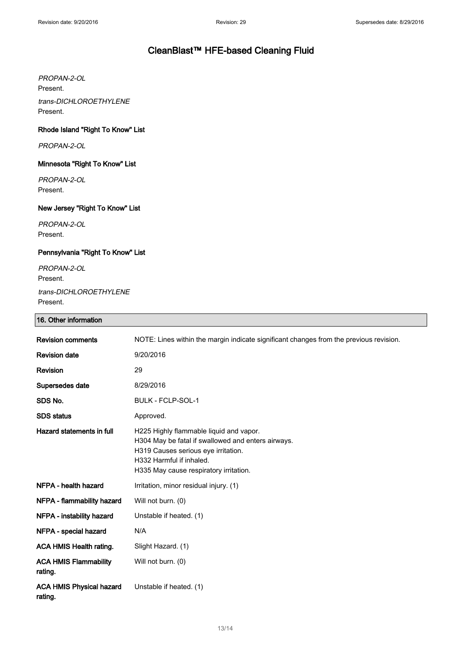PROPAN-2-OL Present. trans-DICHLOROETHYLENE Present.

### Rhode Island "Right To Know" List

PROPAN-2-OL

### Minnesota "Right To Know" List

PROPAN-2-OL Present.

### New Jersey "Right To Know" List

PROPAN-2-OL Present.

### Pennsylvania "Right To Know" List

PROPAN-2-OL Present. trans-DICHLOROETHYLENE Present.

### 16. Other information

| <b>Revision comments</b>                   | NOTE: Lines within the margin indicate significant changes from the previous revision.                                                                                                                     |
|--------------------------------------------|------------------------------------------------------------------------------------------------------------------------------------------------------------------------------------------------------------|
| <b>Revision date</b>                       | 9/20/2016                                                                                                                                                                                                  |
| Revision                                   | 29                                                                                                                                                                                                         |
| Supersedes date                            | 8/29/2016                                                                                                                                                                                                  |
| SDS No.                                    | <b>BULK - FCLP-SOL-1</b>                                                                                                                                                                                   |
| <b>SDS</b> status                          | Approved.                                                                                                                                                                                                  |
| Hazard statements in full                  | H225 Highly flammable liquid and vapor.<br>H304 May be fatal if swallowed and enters airways.<br>H319 Causes serious eye irritation.<br>H332 Harmful if inhaled.<br>H335 May cause respiratory irritation. |
| NFPA - health hazard                       | Irritation, minor residual injury. (1)                                                                                                                                                                     |
| NFPA - flammability hazard                 | Will not burn. (0)                                                                                                                                                                                         |
| NFPA - instability hazard                  | Unstable if heated. (1)                                                                                                                                                                                    |
| NFPA - special hazard                      | N/A                                                                                                                                                                                                        |
| ACA HMIS Health rating.                    | Slight Hazard. (1)                                                                                                                                                                                         |
| <b>ACA HMIS Flammability</b><br>rating.    | Will not burn. (0)                                                                                                                                                                                         |
| <b>ACA HMIS Physical hazard</b><br>rating. | Unstable if heated. (1)                                                                                                                                                                                    |